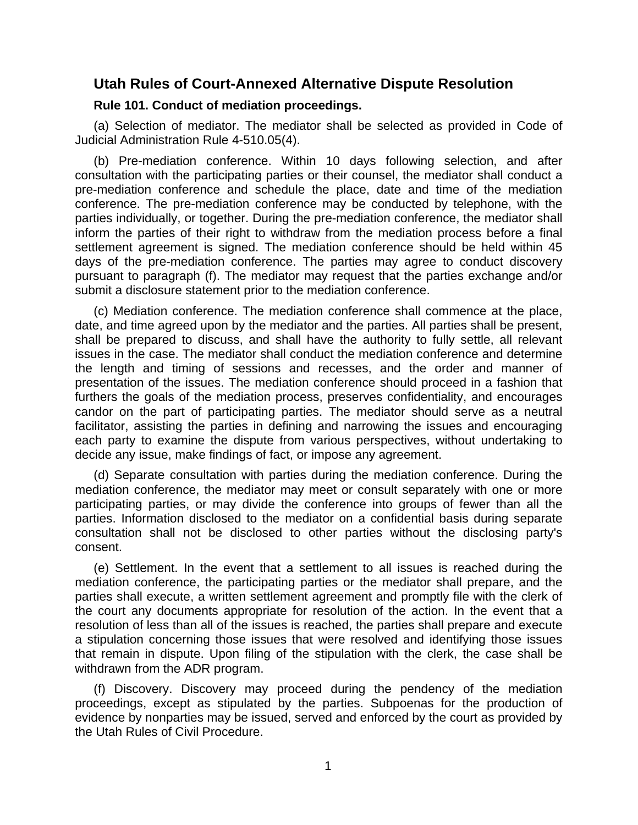# **Utah Rules of Court-Annexed Alternative Dispute Resolution**

## **Rule 101. Conduct of mediation proceedings.**

(a) Selection of mediator. The mediator shall be selected as provided in Code of Judicial Administration Rule 4-510.05(4).

(b) Pre-mediation conference. Within 10 days following selection, and after consultation with the participating parties or their counsel, the mediator shall conduct a pre-mediation conference and schedule the place, date and time of the mediation conference. The pre-mediation conference may be conducted by telephone, with the parties individually, or together. During the pre-mediation conference, the mediator shall inform the parties of their right to withdraw from the mediation process before a final settlement agreement is signed. The mediation conference should be held within 45 days of the pre-mediation conference. The parties may agree to conduct discovery pursuant to paragraph (f). The mediator may request that the parties exchange and/or submit a disclosure statement prior to the mediation conference.

(c) Mediation conference. The mediation conference shall commence at the place, date, and time agreed upon by the mediator and the parties. All parties shall be present, shall be prepared to discuss, and shall have the authority to fully settle, all relevant issues in the case. The mediator shall conduct the mediation conference and determine the length and timing of sessions and recesses, and the order and manner of presentation of the issues. The mediation conference should proceed in a fashion that furthers the goals of the mediation process, preserves confidentiality, and encourages candor on the part of participating parties. The mediator should serve as a neutral facilitator, assisting the parties in defining and narrowing the issues and encouraging each party to examine the dispute from various perspectives, without undertaking to decide any issue, make findings of fact, or impose any agreement.

(d) Separate consultation with parties during the mediation conference. During the mediation conference, the mediator may meet or consult separately with one or more participating parties, or may divide the conference into groups of fewer than all the parties. Information disclosed to the mediator on a confidential basis during separate consultation shall not be disclosed to other parties without the disclosing party's consent.

(e) Settlement. In the event that a settlement to all issues is reached during the mediation conference, the participating parties or the mediator shall prepare, and the parties shall execute, a written settlement agreement and promptly file with the clerk of the court any documents appropriate for resolution of the action. In the event that a resolution of less than all of the issues is reached, the parties shall prepare and execute a stipulation concerning those issues that were resolved and identifying those issues that remain in dispute. Upon filing of the stipulation with the clerk, the case shall be withdrawn from the ADR program.

(f) Discovery. Discovery may proceed during the pendency of the mediation proceedings, except as stipulated by the parties. Subpoenas for the production of evidence by nonparties may be issued, served and enforced by the court as provided by the Utah Rules of Civil Procedure.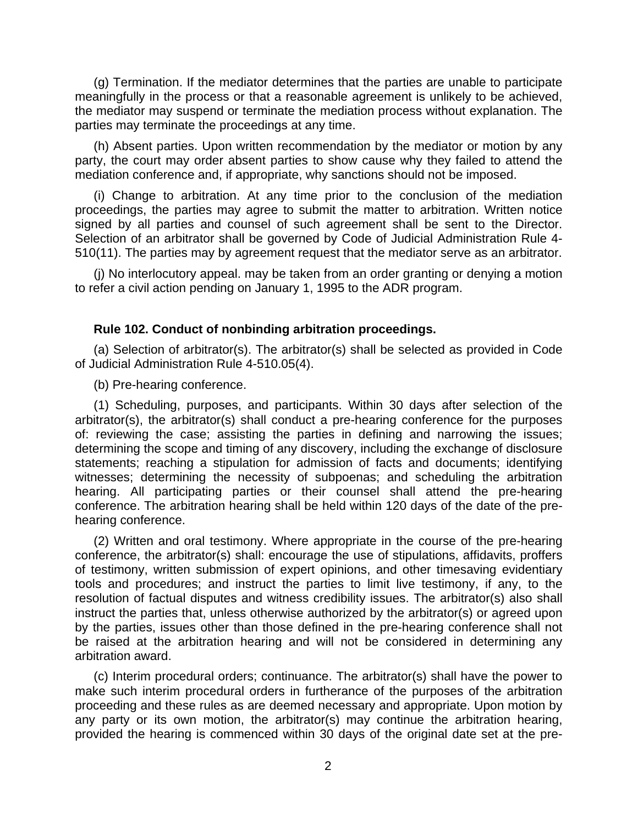(g) Termination. If the mediator determines that the parties are unable to participate meaningfully in the process or that a reasonable agreement is unlikely to be achieved, the mediator may suspend or terminate the mediation process without explanation. The parties may terminate the proceedings at any time.

(h) Absent parties. Upon written recommendation by the mediator or motion by any party, the court may order absent parties to show cause why they failed to attend the mediation conference and, if appropriate, why sanctions should not be imposed.

(i) Change to arbitration. At any time prior to the conclusion of the mediation proceedings, the parties may agree to submit the matter to arbitration. Written notice signed by all parties and counsel of such agreement shall be sent to the Director. Selection of an arbitrator shall be governed by Code of Judicial Administration Rule 4- 510(11). The parties may by agreement request that the mediator serve as an arbitrator.

(j) No interlocutory appeal. may be taken from an order granting or denying a motion to refer a civil action pending on January 1, 1995 to the ADR program.

# **Rule 102. Conduct of nonbinding arbitration proceedings.**

(a) Selection of arbitrator(s). The arbitrator(s) shall be selected as provided in Code of Judicial Administration Rule 4-510.05(4).

(b) Pre-hearing conference.

(1) Scheduling, purposes, and participants. Within 30 days after selection of the arbitrator(s), the arbitrator(s) shall conduct a pre-hearing conference for the purposes of: reviewing the case; assisting the parties in defining and narrowing the issues; determining the scope and timing of any discovery, including the exchange of disclosure statements; reaching a stipulation for admission of facts and documents; identifying witnesses; determining the necessity of subpoenas; and scheduling the arbitration hearing. All participating parties or their counsel shall attend the pre-hearing conference. The arbitration hearing shall be held within 120 days of the date of the prehearing conference.

(2) Written and oral testimony. Where appropriate in the course of the pre-hearing conference, the arbitrator(s) shall: encourage the use of stipulations, affidavits, proffers of testimony, written submission of expert opinions, and other timesaving evidentiary tools and procedures; and instruct the parties to limit live testimony, if any, to the resolution of factual disputes and witness credibility issues. The arbitrator(s) also shall instruct the parties that, unless otherwise authorized by the arbitrator(s) or agreed upon by the parties, issues other than those defined in the pre-hearing conference shall not be raised at the arbitration hearing and will not be considered in determining any arbitration award.

(c) Interim procedural orders; continuance. The arbitrator(s) shall have the power to make such interim procedural orders in furtherance of the purposes of the arbitration proceeding and these rules as are deemed necessary and appropriate. Upon motion by any party or its own motion, the arbitrator(s) may continue the arbitration hearing, provided the hearing is commenced within 30 days of the original date set at the pre-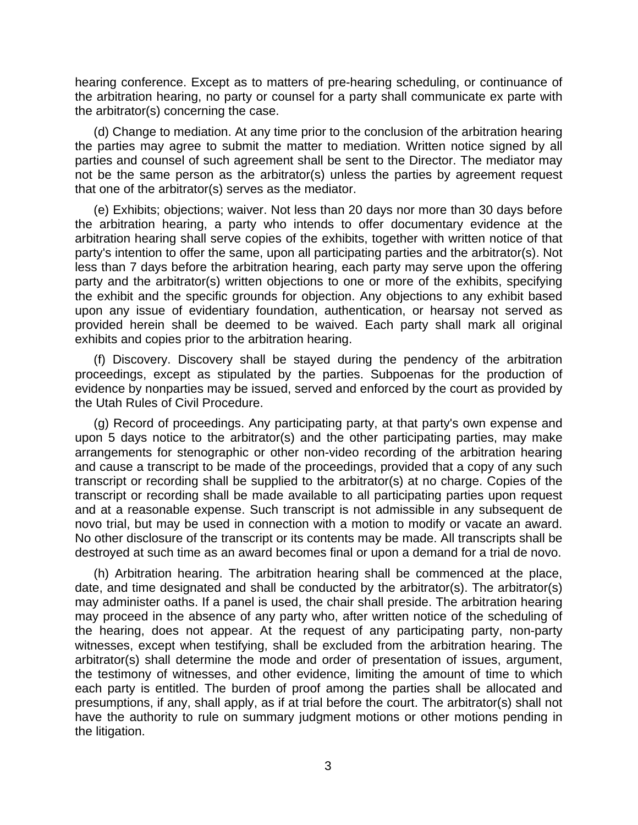hearing conference. Except as to matters of pre-hearing scheduling, or continuance of the arbitration hearing, no party or counsel for a party shall communicate ex parte with the arbitrator(s) concerning the case.

(d) Change to mediation. At any time prior to the conclusion of the arbitration hearing the parties may agree to submit the matter to mediation. Written notice signed by all parties and counsel of such agreement shall be sent to the Director. The mediator may not be the same person as the arbitrator(s) unless the parties by agreement request that one of the arbitrator(s) serves as the mediator.

(e) Exhibits; objections; waiver. Not less than 20 days nor more than 30 days before the arbitration hearing, a party who intends to offer documentary evidence at the arbitration hearing shall serve copies of the exhibits, together with written notice of that party's intention to offer the same, upon all participating parties and the arbitrator(s). Not less than 7 days before the arbitration hearing, each party may serve upon the offering party and the arbitrator(s) written objections to one or more of the exhibits, specifying the exhibit and the specific grounds for objection. Any objections to any exhibit based upon any issue of evidentiary foundation, authentication, or hearsay not served as provided herein shall be deemed to be waived. Each party shall mark all original exhibits and copies prior to the arbitration hearing.

(f) Discovery. Discovery shall be stayed during the pendency of the arbitration proceedings, except as stipulated by the parties. Subpoenas for the production of evidence by nonparties may be issued, served and enforced by the court as provided by the Utah Rules of Civil Procedure.

(g) Record of proceedings. Any participating party, at that party's own expense and upon 5 days notice to the arbitrator(s) and the other participating parties, may make arrangements for stenographic or other non-video recording of the arbitration hearing and cause a transcript to be made of the proceedings, provided that a copy of any such transcript or recording shall be supplied to the arbitrator(s) at no charge. Copies of the transcript or recording shall be made available to all participating parties upon request and at a reasonable expense. Such transcript is not admissible in any subsequent de novo trial, but may be used in connection with a motion to modify or vacate an award. No other disclosure of the transcript or its contents may be made. All transcripts shall be destroyed at such time as an award becomes final or upon a demand for a trial de novo.

(h) Arbitration hearing. The arbitration hearing shall be commenced at the place, date, and time designated and shall be conducted by the arbitrator(s). The arbitrator(s) may administer oaths. If a panel is used, the chair shall preside. The arbitration hearing may proceed in the absence of any party who, after written notice of the scheduling of the hearing, does not appear. At the request of any participating party, non-party witnesses, except when testifying, shall be excluded from the arbitration hearing. The arbitrator(s) shall determine the mode and order of presentation of issues, argument, the testimony of witnesses, and other evidence, limiting the amount of time to which each party is entitled. The burden of proof among the parties shall be allocated and presumptions, if any, shall apply, as if at trial before the court. The arbitrator(s) shall not have the authority to rule on summary judgment motions or other motions pending in the litigation.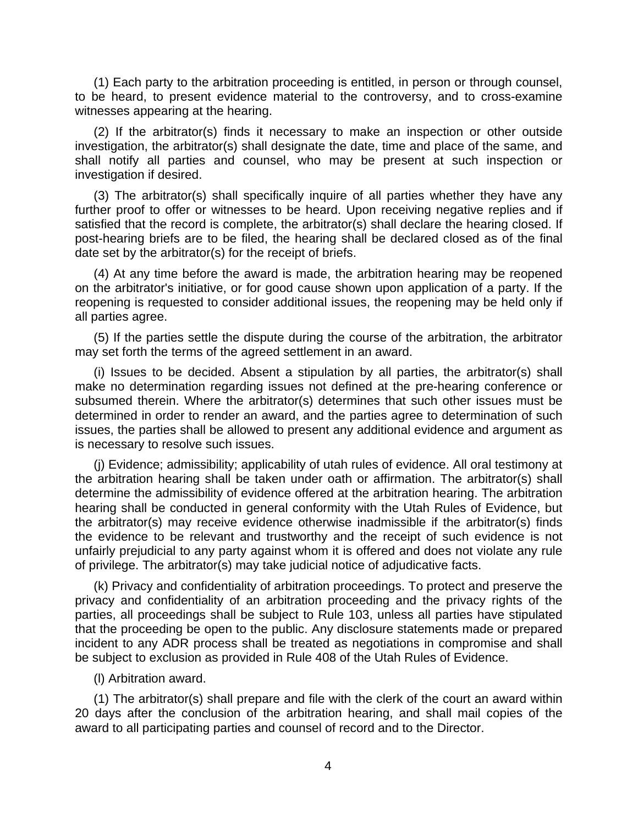(1) Each party to the arbitration proceeding is entitled, in person or through counsel, to be heard, to present evidence material to the controversy, and to cross-examine witnesses appearing at the hearing.

(2) If the arbitrator(s) finds it necessary to make an inspection or other outside investigation, the arbitrator(s) shall designate the date, time and place of the same, and shall notify all parties and counsel, who may be present at such inspection or investigation if desired.

(3) The arbitrator(s) shall specifically inquire of all parties whether they have any further proof to offer or witnesses to be heard. Upon receiving negative replies and if satisfied that the record is complete, the arbitrator(s) shall declare the hearing closed. If post-hearing briefs are to be filed, the hearing shall be declared closed as of the final date set by the arbitrator(s) for the receipt of briefs.

(4) At any time before the award is made, the arbitration hearing may be reopened on the arbitrator's initiative, or for good cause shown upon application of a party. If the reopening is requested to consider additional issues, the reopening may be held only if all parties agree.

(5) If the parties settle the dispute during the course of the arbitration, the arbitrator may set forth the terms of the agreed settlement in an award.

(i) Issues to be decided. Absent a stipulation by all parties, the arbitrator(s) shall make no determination regarding issues not defined at the pre-hearing conference or subsumed therein. Where the arbitrator(s) determines that such other issues must be determined in order to render an award, and the parties agree to determination of such issues, the parties shall be allowed to present any additional evidence and argument as is necessary to resolve such issues.

(j) Evidence; admissibility; applicability of utah rules of evidence. All oral testimony at the arbitration hearing shall be taken under oath or affirmation. The arbitrator(s) shall determine the admissibility of evidence offered at the arbitration hearing. The arbitration hearing shall be conducted in general conformity with the Utah Rules of Evidence, but the arbitrator(s) may receive evidence otherwise inadmissible if the arbitrator(s) finds the evidence to be relevant and trustworthy and the receipt of such evidence is not unfairly prejudicial to any party against whom it is offered and does not violate any rule of privilege. The arbitrator(s) may take judicial notice of adjudicative facts.

(k) Privacy and confidentiality of arbitration proceedings. To protect and preserve the privacy and confidentiality of an arbitration proceeding and the privacy rights of the parties, all proceedings shall be subject to Rule 103, unless all parties have stipulated that the proceeding be open to the public. Any disclosure statements made or prepared incident to any ADR process shall be treated as negotiations in compromise and shall be subject to exclusion as provided in Rule 408 of the Utah Rules of Evidence.

(l) Arbitration award.

(1) The arbitrator(s) shall prepare and file with the clerk of the court an award within 20 days after the conclusion of the arbitration hearing, and shall mail copies of the award to all participating parties and counsel of record and to the Director.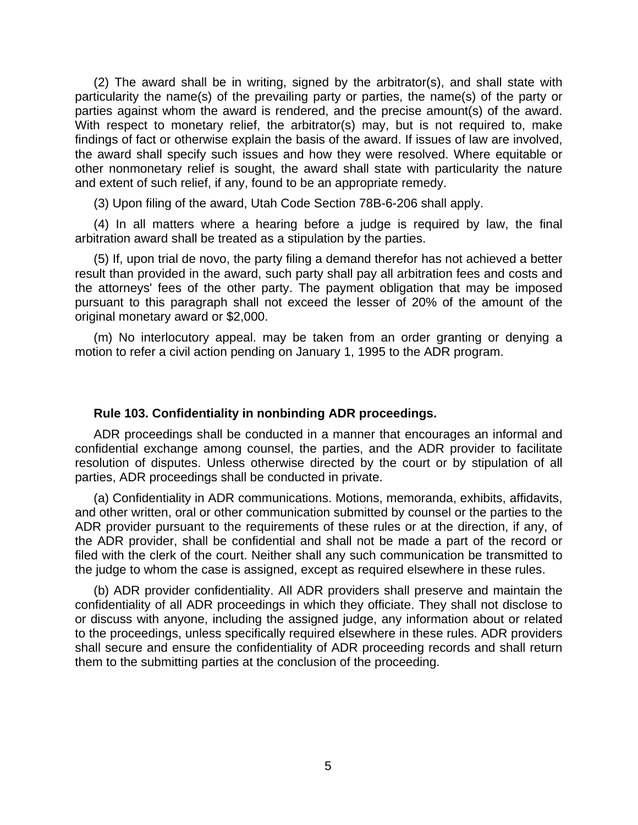(2) The award shall be in writing, signed by the arbitrator(s), and shall state with particularity the name(s) of the prevailing party or parties, the name(s) of the party or parties against whom the award is rendered, and the precise amount(s) of the award. With respect to monetary relief, the arbitrator(s) may, but is not required to, make findings of fact or otherwise explain the basis of the award. If issues of law are involved, the award shall specify such issues and how they were resolved. Where equitable or other nonmonetary relief is sought, the award shall state with particularity the nature and extent of such relief, if any, found to be an appropriate remedy.

(3) Upon filing of the award, Utah Code Section 78B-6-206 shall apply.

(4) In all matters where a hearing before a judge is required by law, the final arbitration award shall be treated as a stipulation by the parties.

(5) If, upon trial de novo, the party filing a demand therefor has not achieved a better result than provided in the award, such party shall pay all arbitration fees and costs and the attorneys' fees of the other party. The payment obligation that may be imposed pursuant to this paragraph shall not exceed the lesser of 20% of the amount of the original monetary award or \$2,000.

(m) No interlocutory appeal. may be taken from an order granting or denying a motion to refer a civil action pending on January 1, 1995 to the ADR program.

## **Rule 103. Confidentiality in nonbinding ADR proceedings.**

ADR proceedings shall be conducted in a manner that encourages an informal and confidential exchange among counsel, the parties, and the ADR provider to facilitate resolution of disputes. Unless otherwise directed by the court or by stipulation of all parties, ADR proceedings shall be conducted in private.

(a) Confidentiality in ADR communications. Motions, memoranda, exhibits, affidavits, and other written, oral or other communication submitted by counsel or the parties to the ADR provider pursuant to the requirements of these rules or at the direction, if any, of the ADR provider, shall be confidential and shall not be made a part of the record or filed with the clerk of the court. Neither shall any such communication be transmitted to the judge to whom the case is assigned, except as required elsewhere in these rules.

(b) ADR provider confidentiality. All ADR providers shall preserve and maintain the confidentiality of all ADR proceedings in which they officiate. They shall not disclose to or discuss with anyone, including the assigned judge, any information about or related to the proceedings, unless specifically required elsewhere in these rules. ADR providers shall secure and ensure the confidentiality of ADR proceeding records and shall return them to the submitting parties at the conclusion of the proceeding.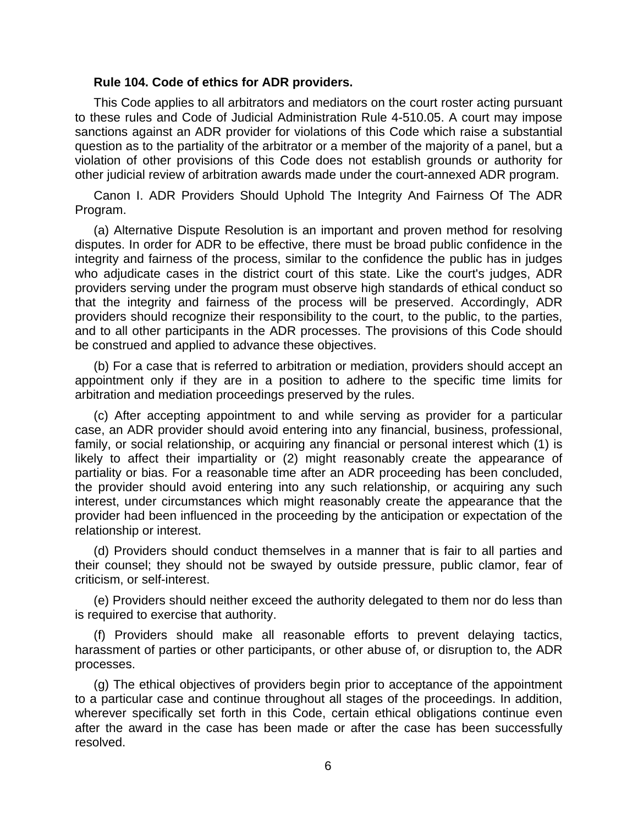#### **Rule 104. Code of ethics for ADR providers.**

This Code applies to all arbitrators and mediators on the court roster acting pursuant to these rules and Code of Judicial Administration Rule 4-510.05. A court may impose sanctions against an ADR provider for violations of this Code which raise a substantial question as to the partiality of the arbitrator or a member of the majority of a panel, but a violation of other provisions of this Code does not establish grounds or authority for other judicial review of arbitration awards made under the court-annexed ADR program.

Canon I. ADR Providers Should Uphold The Integrity And Fairness Of The ADR Program.

(a) Alternative Dispute Resolution is an important and proven method for resolving disputes. In order for ADR to be effective, there must be broad public confidence in the integrity and fairness of the process, similar to the confidence the public has in judges who adjudicate cases in the district court of this state. Like the court's judges, ADR providers serving under the program must observe high standards of ethical conduct so that the integrity and fairness of the process will be preserved. Accordingly, ADR providers should recognize their responsibility to the court, to the public, to the parties, and to all other participants in the ADR processes. The provisions of this Code should be construed and applied to advance these objectives.

(b) For a case that is referred to arbitration or mediation, providers should accept an appointment only if they are in a position to adhere to the specific time limits for arbitration and mediation proceedings preserved by the rules.

(c) After accepting appointment to and while serving as provider for a particular case, an ADR provider should avoid entering into any financial, business, professional, family, or social relationship, or acquiring any financial or personal interest which (1) is likely to affect their impartiality or (2) might reasonably create the appearance of partiality or bias. For a reasonable time after an ADR proceeding has been concluded, the provider should avoid entering into any such relationship, or acquiring any such interest, under circumstances which might reasonably create the appearance that the provider had been influenced in the proceeding by the anticipation or expectation of the relationship or interest.

(d) Providers should conduct themselves in a manner that is fair to all parties and their counsel; they should not be swayed by outside pressure, public clamor, fear of criticism, or self-interest.

(e) Providers should neither exceed the authority delegated to them nor do less than is required to exercise that authority.

(f) Providers should make all reasonable efforts to prevent delaying tactics, harassment of parties or other participants, or other abuse of, or disruption to, the ADR processes.

(g) The ethical objectives of providers begin prior to acceptance of the appointment to a particular case and continue throughout all stages of the proceedings. In addition, wherever specifically set forth in this Code, certain ethical obligations continue even after the award in the case has been made or after the case has been successfully resolved.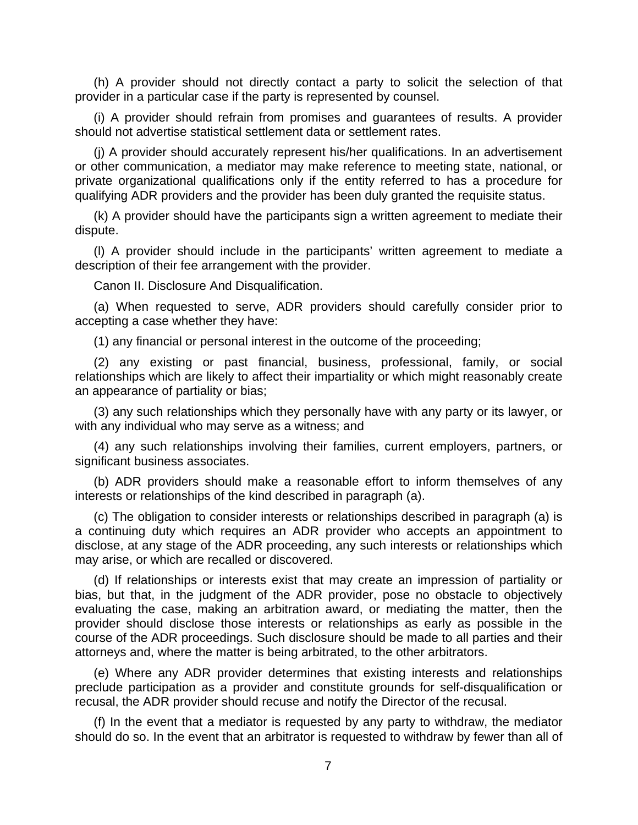(h) A provider should not directly contact a party to solicit the selection of that provider in a particular case if the party is represented by counsel.

(i) A provider should refrain from promises and guarantees of results. A provider should not advertise statistical settlement data or settlement rates.

(j) A provider should accurately represent his/her qualifications. In an advertisement or other communication, a mediator may make reference to meeting state, national, or private organizational qualifications only if the entity referred to has a procedure for qualifying ADR providers and the provider has been duly granted the requisite status.

(k) A provider should have the participants sign a written agreement to mediate their dispute.

(l) A provider should include in the participants' written agreement to mediate a description of their fee arrangement with the provider.

Canon II. Disclosure And Disqualification.

(a) When requested to serve, ADR providers should carefully consider prior to accepting a case whether they have:

(1) any financial or personal interest in the outcome of the proceeding;

(2) any existing or past financial, business, professional, family, or social relationships which are likely to affect their impartiality or which might reasonably create an appearance of partiality or bias;

(3) any such relationships which they personally have with any party or its lawyer, or with any individual who may serve as a witness; and

(4) any such relationships involving their families, current employers, partners, or significant business associates.

(b) ADR providers should make a reasonable effort to inform themselves of any interests or relationships of the kind described in paragraph (a).

(c) The obligation to consider interests or relationships described in paragraph (a) is a continuing duty which requires an ADR provider who accepts an appointment to disclose, at any stage of the ADR proceeding, any such interests or relationships which may arise, or which are recalled or discovered.

(d) If relationships or interests exist that may create an impression of partiality or bias, but that, in the judgment of the ADR provider, pose no obstacle to objectively evaluating the case, making an arbitration award, or mediating the matter, then the provider should disclose those interests or relationships as early as possible in the course of the ADR proceedings. Such disclosure should be made to all parties and their attorneys and, where the matter is being arbitrated, to the other arbitrators.

(e) Where any ADR provider determines that existing interests and relationships preclude participation as a provider and constitute grounds for self-disqualification or recusal, the ADR provider should recuse and notify the Director of the recusal.

(f) In the event that a mediator is requested by any party to withdraw, the mediator should do so. In the event that an arbitrator is requested to withdraw by fewer than all of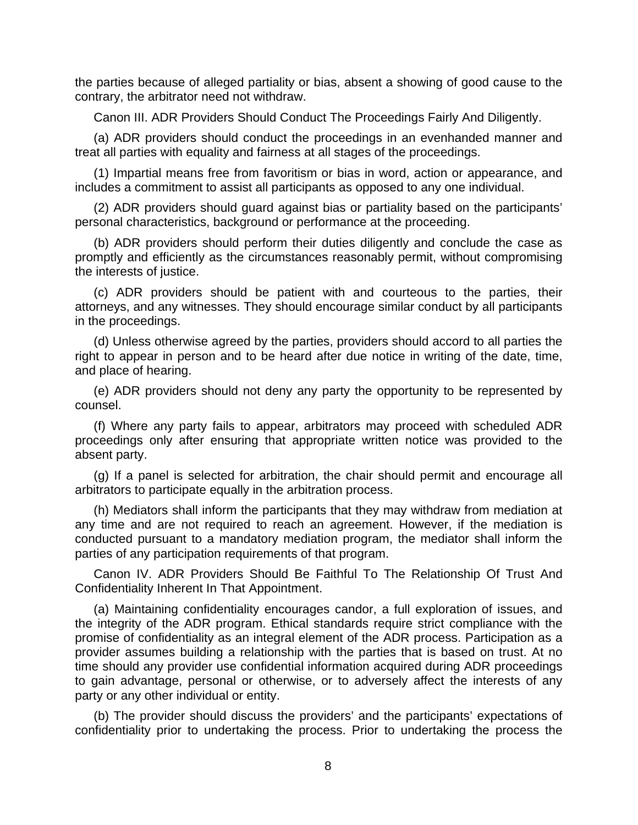the parties because of alleged partiality or bias, absent a showing of good cause to the contrary, the arbitrator need not withdraw.

Canon III. ADR Providers Should Conduct The Proceedings Fairly And Diligently.

(a) ADR providers should conduct the proceedings in an evenhanded manner and treat all parties with equality and fairness at all stages of the proceedings.

(1) Impartial means free from favoritism or bias in word, action or appearance, and includes a commitment to assist all participants as opposed to any one individual.

(2) ADR providers should guard against bias or partiality based on the participants' personal characteristics, background or performance at the proceeding.

(b) ADR providers should perform their duties diligently and conclude the case as promptly and efficiently as the circumstances reasonably permit, without compromising the interests of justice.

(c) ADR providers should be patient with and courteous to the parties, their attorneys, and any witnesses. They should encourage similar conduct by all participants in the proceedings.

(d) Unless otherwise agreed by the parties, providers should accord to all parties the right to appear in person and to be heard after due notice in writing of the date, time, and place of hearing.

(e) ADR providers should not deny any party the opportunity to be represented by counsel.

(f) Where any party fails to appear, arbitrators may proceed with scheduled ADR proceedings only after ensuring that appropriate written notice was provided to the absent party.

(g) If a panel is selected for arbitration, the chair should permit and encourage all arbitrators to participate equally in the arbitration process.

(h) Mediators shall inform the participants that they may withdraw from mediation at any time and are not required to reach an agreement. However, if the mediation is conducted pursuant to a mandatory mediation program, the mediator shall inform the parties of any participation requirements of that program.

Canon IV. ADR Providers Should Be Faithful To The Relationship Of Trust And Confidentiality Inherent In That Appointment.

(a) Maintaining confidentiality encourages candor, a full exploration of issues, and the integrity of the ADR program. Ethical standards require strict compliance with the promise of confidentiality as an integral element of the ADR process. Participation as a provider assumes building a relationship with the parties that is based on trust. At no time should any provider use confidential information acquired during ADR proceedings to gain advantage, personal or otherwise, or to adversely affect the interests of any party or any other individual or entity.

(b) The provider should discuss the providers' and the participants' expectations of confidentiality prior to undertaking the process. Prior to undertaking the process the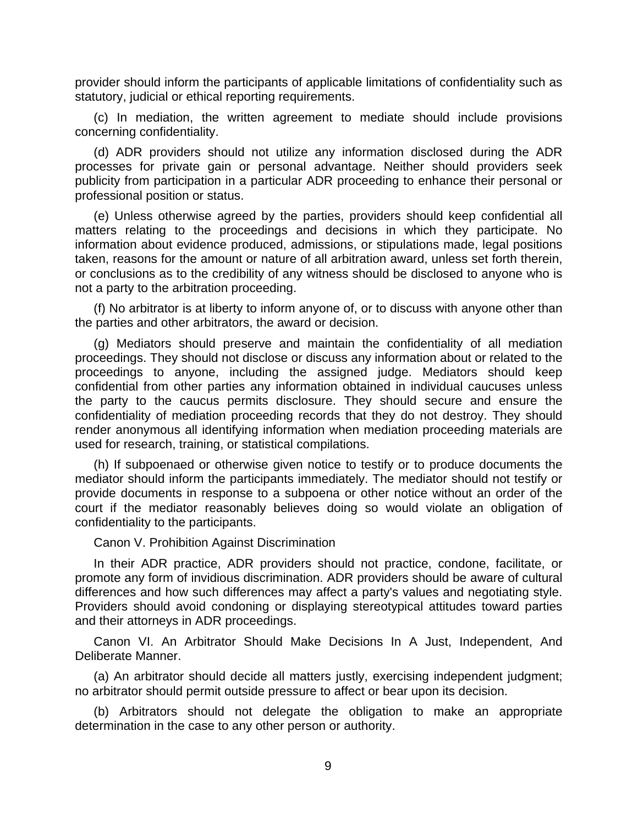provider should inform the participants of applicable limitations of confidentiality such as statutory, judicial or ethical reporting requirements.

(c) In mediation, the written agreement to mediate should include provisions concerning confidentiality.

(d) ADR providers should not utilize any information disclosed during the ADR processes for private gain or personal advantage. Neither should providers seek publicity from participation in a particular ADR proceeding to enhance their personal or professional position or status.

(e) Unless otherwise agreed by the parties, providers should keep confidential all matters relating to the proceedings and decisions in which they participate. No information about evidence produced, admissions, or stipulations made, legal positions taken, reasons for the amount or nature of all arbitration award, unless set forth therein, or conclusions as to the credibility of any witness should be disclosed to anyone who is not a party to the arbitration proceeding.

(f) No arbitrator is at liberty to inform anyone of, or to discuss with anyone other than the parties and other arbitrators, the award or decision.

(g) Mediators should preserve and maintain the confidentiality of all mediation proceedings. They should not disclose or discuss any information about or related to the proceedings to anyone, including the assigned judge. Mediators should keep confidential from other parties any information obtained in individual caucuses unless the party to the caucus permits disclosure. They should secure and ensure the confidentiality of mediation proceeding records that they do not destroy. They should render anonymous all identifying information when mediation proceeding materials are used for research, training, or statistical compilations.

(h) If subpoenaed or otherwise given notice to testify or to produce documents the mediator should inform the participants immediately. The mediator should not testify or provide documents in response to a subpoena or other notice without an order of the court if the mediator reasonably believes doing so would violate an obligation of confidentiality to the participants.

Canon V. Prohibition Against Discrimination

In their ADR practice, ADR providers should not practice, condone, facilitate, or promote any form of invidious discrimination. ADR providers should be aware of cultural differences and how such differences may affect a party's values and negotiating style. Providers should avoid condoning or displaying stereotypical attitudes toward parties and their attorneys in ADR proceedings.

Canon VI. An Arbitrator Should Make Decisions In A Just, Independent, And Deliberate Manner.

(a) An arbitrator should decide all matters justly, exercising independent judgment; no arbitrator should permit outside pressure to affect or bear upon its decision.

(b) Arbitrators should not delegate the obligation to make an appropriate determination in the case to any other person or authority.